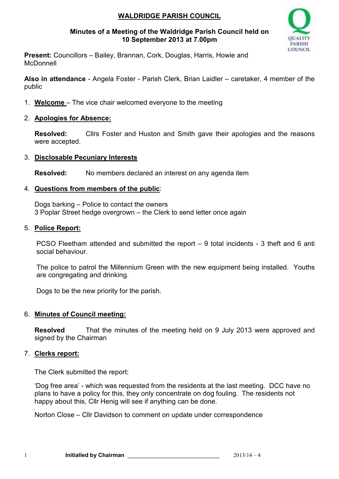# **WALDRIDGE PARISH COUNCIL**

### **Minutes of a Meeting of the Waldridge Parish Council held on 10 September 2013 at 7.00pm**



**Present:** Councillors – Bailey, Brannan, Cork, Douglas, Harris, Howie and **McDonnell** 

**Also in attendance** - Angela Foster - Parish Clerk, Brian Laidler – caretaker, 4 member of the public

- 1. **Welcome**  The vice chair welcomed everyone to the meeting
- 2. **Apologies for Absence:**

**Resolved:** Cllrs Foster and Huston and Smith gave their apologies and the reasons were accepted.

### 3. **Disclosable Pecuniary Interests**

**Resolved:** No members declared an interest on any agenda item

### 4. **Questions from members of the public**:

Dogs barking – Police to contact the owners 3 Poplar Street hedge overgrown – the Clerk to send letter once again

### 5. **Police Report:**

PCSO Fleetham attended and submitted the report – 9 total incidents - 3 theft and 6 anti social behaviour.

The police to patrol the Millennium Green with the new equipment being installed. Youths are congregating and drinking.

Dogs to be the new priority for the parish.

### 6. **Minutes of Council meeting:**

**Resolved** That the minutes of the meeting held on 9 July 2013 were approved and signed by the Chairman

### 7. **Clerks report:**

The Clerk submitted the report:

'Dog free area' - which was requested from the residents at the last meeting. DCC have no plans to have a policy for this, they only concentrate on dog fouling. The residents not happy about this, Cllr Henig will see if anything can be done.

Norton Close – Cllr Davidson to comment on update under correspondence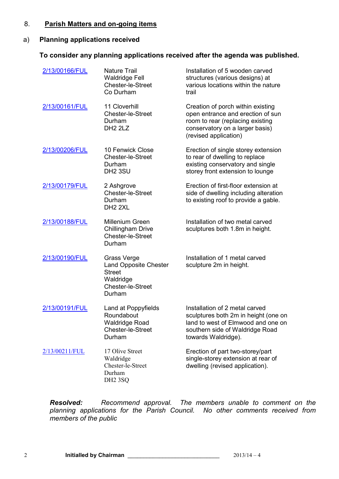#### 8. **Parish Matters and on-going items**

### a) **Planning applications received**

#### **To consider any planning applications received after the agenda was published.**

| 2/13/00166/FUL | <b>Nature Trail</b><br><b>Waldridge Fell</b><br>Chester-le-Street<br>Co Durham                                  | Installation of 5 wooden carved<br>structures (various designs) at<br>various locations within the nature<br>trail                                                     |
|----------------|-----------------------------------------------------------------------------------------------------------------|------------------------------------------------------------------------------------------------------------------------------------------------------------------------|
| 2/13/00161/FUL | 11 Cloverhill<br><b>Chester-le-Street</b><br>Durham<br>DH <sub>2</sub> 2LZ                                      | Creation of porch within existing<br>open entrance and erection of sun<br>room to rear (replacing existing<br>conservatory on a larger basis)<br>(revised application) |
| 2/13/00206/FUL | 10 Fenwick Close<br><b>Chester-le-Street</b><br>Durham<br>DH <sub>2</sub> 3SU                                   | Erection of single storey extension<br>to rear of dwelling to replace<br>existing conservatory and single<br>storey front extension to lounge                          |
| 2/13/00179/FUL | 2 Ashgrove<br>Chester-le-Street<br>Durham<br>DH <sub>2</sub> 2XL                                                | Erection of first-floor extension at<br>side of dwelling including alteration<br>to existing roof to provide a gable.                                                  |
| 2/13/00188/FUL | <b>Millenium Green</b><br>Chillingham Drive<br>Chester-le-Street<br>Durham                                      | Installation of two metal carved<br>sculptures both 1.8m in height.                                                                                                    |
| 2/13/00190/FUL | <b>Grass Verge</b><br><b>Land Opposite Chester</b><br><b>Street</b><br>Waldridge<br>Chester-le-Street<br>Durham | Installation of 1 metal carved<br>sculpture 2m in height.                                                                                                              |
| 2/13/00191/FUL | Land at Poppyfields<br>Roundabout<br><b>Waldridge Road</b><br>Chester-le-Street<br>Durham                       | Installation of 2 metal carved<br>sculptures both 2m in height (one on<br>land to west of Elmwood and one on<br>southern side of Waldridge Road<br>towards Waldridge). |
| 2/13/00211/FUL | 17 Olive Street<br>Waldridge<br>Chester-le-Street<br>Durham<br>DH <sub>2</sub> 3SQ                              | Erection of part two-storey/part<br>single-storey extension at rear of<br>dwelling (revised application).                                                              |

*Resolved: Recommend approval. The members unable to comment on the planning applications for the Parish Council. No other comments received from members of the public*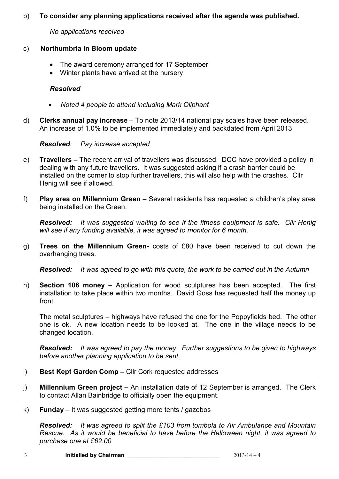### b) **To consider any planning applications received after the agenda was published.**

*No applications received*

# c) **Northumbria in Bloom update**

- The award ceremony arranged for 17 September
- Winter plants have arrived at the nursery

# *Resolved*

- *Noted 4 people to attend including Mark Oliphant*
- d) **Clerks annual pay increase** To note 2013/14 national pay scales have been released. An increase of 1.0% to be implemented immediately and backdated from April 2013

# *Resolved: Pay increase accepted*

- e) **Travellers** The recent arrival of travellers was discussed. DCC have provided a policy in dealing with any future travellers. It was suggested asking if a crash barrier could be installed on the corner to stop further travellers, this will also help with the crashes. Cllr Henig will see if allowed.
- f) **Play area on Millennium Green**  Several residents has requested a children's play area being installed on the Green.

*Resolved: It was suggested waiting to see if the fitness equipment is safe. Cllr Henig will see if any funding available, it was agreed to monitor for 6 month.*

g) **Trees on the Millennium Green-** costs of £80 have been received to cut down the overhanging trees.

*Resolved: It was agreed to go with this quote, the work to be carried out in the Autumn* 

h) **Section 106 money –** Application for wood sculptures has been accepted. The first installation to take place within two months. David Goss has requested half the money up front.

The metal sculptures – highways have refused the one for the Poppyfields bed. The other one is ok. A new location needs to be looked at. The one in the village needs to be changed location.

*Resolved: It was agreed to pay the money. Further suggestions to be given to highways before another planning application to be sent.* 

- i) **Best Kept Garden Comp** Cllr Cork requested addresses
- j) **Millennium Green project** An installation date of 12 September is arranged. The Clerk to contact Allan Bainbridge to officially open the equipment.
- k) **Funday**  It was suggested getting more tents / gazebos

*Resolved: It was agreed to split the £103 from tombola to Air Ambulance and Mountain Rescue. As it would be beneficial to have before the Halloween night, it was agreed to purchase one at £62.00*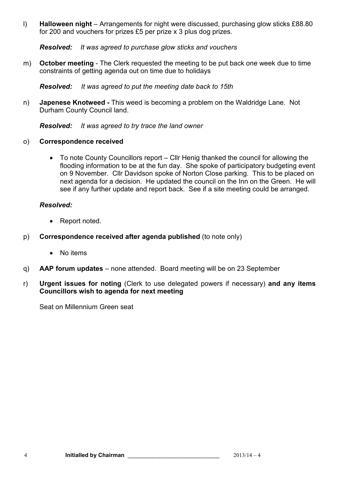l) **Halloween night** – Arrangements for night were discussed, purchasing glow sticks £88.80 for 200 and vouchers for prizes £5 per prize x 3 plus dog prizes.

*Resolved: It was agreed to purchase glow sticks and vouchers*

m) **October meeting** - The Clerk requested the meeting to be put back one week due to time constraints of getting agenda out on time due to holidays

*Resolved: It was agreed to put the meeting date back to 15th* 

n) **Japenese Knotweed -** This weed is becoming a problem on the Waldridge Lane. Not Durham County Council land.

*Resolved: It was agreed to try trace the land owner* 

- o) **Correspondence received** 
	- To note County Councillors report Cllr Henig thanked the council for allowing the flooding information to be at the fun day. She spoke of participatory budgeting event on 9 November. Cllr Davidson spoke of Norton Close parking. This to be placed on next agenda for a decision. He updated the council on the Inn on the Green. He will see if any further update and report back. See if a site meeting could be arranged.

### *Resolved:*

- Report noted.
- p) **Correspondence received after agenda published** (to note only)
	- No items
- q) **AAP forum updates**  none attended. Board meeting will be on 23 September
- r) **Urgent issues for noting** (Clerk to use delegated powers if necessary) **and any items Councillors wish to agenda for next meeting**

Seat on Millennium Green seat